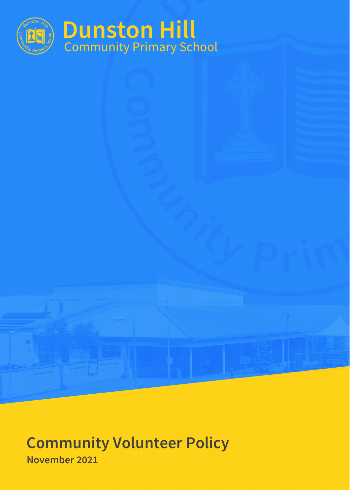

# **Dunston Hill**<br>Community Primary School

**Community Volunteer Policy November 2021**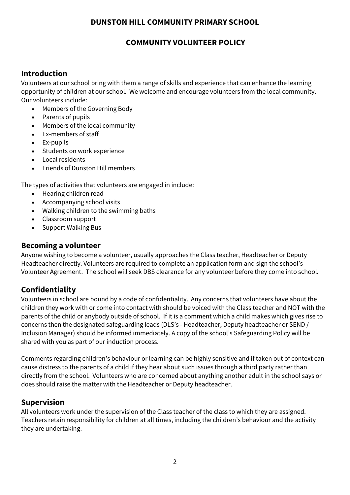#### **DUNSTON HILL COMMUNITY PRIMARY SCHOOL**

## **COMMUNITY VOLUNTEER POLICY**

#### **Introduction**

Volunteers at our school bring with them a range of skills and experience that can enhance the learning opportunity of children at our school. We welcome and encourage volunteers from the local community. Our volunteers include:

- Members of the Governing Body
- Parents of pupils
- Members of the local community
- Ex-members of staff
- Ex-pupils
- Students on work experience
- Local residents
- Friends of Dunston Hill members

The types of activities that volunteers are engaged in include:

- Hearing children read
- Accompanying school visits
- Walking children to the swimming baths
- Classroom support
- Support Walking Bus

#### **Becoming a volunteer**

Anyone wishing to become a volunteer, usually approaches the Class teacher, Headteacher or Deputy Headteacher directly. Volunteers are required to complete an application form and sign the school's Volunteer Agreement. The school will seek DBS clearance for any volunteer before they come into school.

#### **Confidentiality**

Volunteers in school are bound by a code of confidentiality. Any concerns that volunteers have about the children they work with or come into contact with should be voiced with the Class teacher and NOT with the parents of the child or anybody outside of school. If it is a comment which a child makes which gives rise to concerns then the designated safeguarding leads (DLS's - Headteacher, Deputy headteacher or SEND / Inclusion Manager) should be informed immediately. A copy of the school's Safeguarding Policy will be shared with you as part of our induction process.

Comments regarding children's behaviour or learning can be highly sensitive and if taken out of context can cause distress to the parents of a child if they hear about such issues through a third party rather than directly from the school. Volunteers who are concerned about anything another adult in the school says or does should raise the matter with the Headteacher or Deputy headteacher.

#### **Supervision**

All volunteers work under the supervision of the Class teacher of the class to which they are assigned. Teachers retain responsibility for children at all times, including the children's behaviour and the activity they are undertaking.